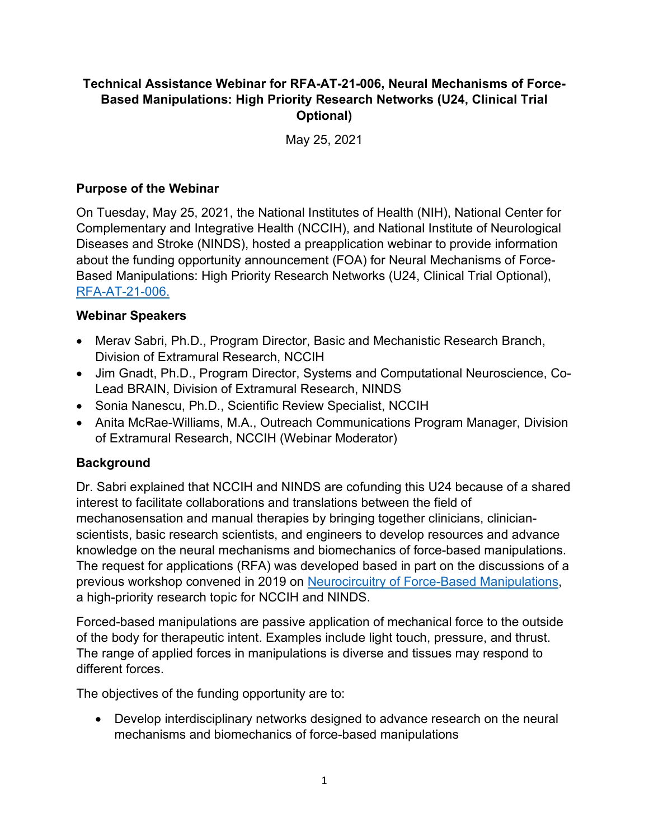### **Technical Assistance Webinar for RFA-AT-21-006, Neural Mechanisms of Force-Based Manipulations: High Priority Research Networks (U24, Clinical Trial Optional)**

May 25, 2021

#### **Purpose of the Webinar**

On Tuesday, May 25, 2021, the National Institutes of Health (NIH), National Center for Complementary and Integrative Health (NCCIH), and National Institute of Neurological Diseases and Stroke (NINDS), hosted a preapplication webinar to provide information about the funding opportunity announcement (FOA) for Neural Mechanisms of Force-Based Manipulations: High Priority Research Networks (U24, Clinical Trial Optional), [RFA-AT-21-006.](https://grants.nih.gov/grants/guide/rfa-files/RFA-AT-21-006.html)

#### **Webinar Speakers**

- Merav Sabri, Ph.D., Program Director, Basic and Mechanistic Research Branch, Division of Extramural Research, NCCIH
- Jim Gnadt, Ph.D., Program Director, Systems and Computational Neuroscience, Co-Lead BRAIN, Division of Extramural Research, NINDS
- Sonia Nanescu, Ph.D., Scientific Review Specialist, NCCIH
- Anita McRae-Williams, M.A., Outreach Communications Program Manager, Division of Extramural Research, NCCIH (Webinar Moderator)

#### **Background**

Dr. Sabri explained that NCCIH and NINDS are cofunding this U24 because of a shared interest to facilitate collaborations and translations between the field of mechanosensation and manual therapies by bringing together clinicians, clinicianscientists, basic research scientists, and engineers to develop resources and advance knowledge on the neural mechanisms and biomechanics of force-based manipulations. The request for applications (RFA) was developed based in part on the discussions of a previous workshop convened in 2019 on [Neurocircuitry of Force-Based Manipulations,](https://files.nccih.nih.gov/force-workshop-summary-110920-508-updated.pdf) a high-priority research topic for NCCIH and NINDS.

Forced-based manipulations are passive application of mechanical force to the outside of the body for therapeutic intent. Examples include light touch, pressure, and thrust. The range of applied forces in manipulations is diverse and tissues may respond to different forces.

The objectives of the funding opportunity are to:

• Develop interdisciplinary networks designed to advance research on the neural mechanisms and biomechanics of force-based manipulations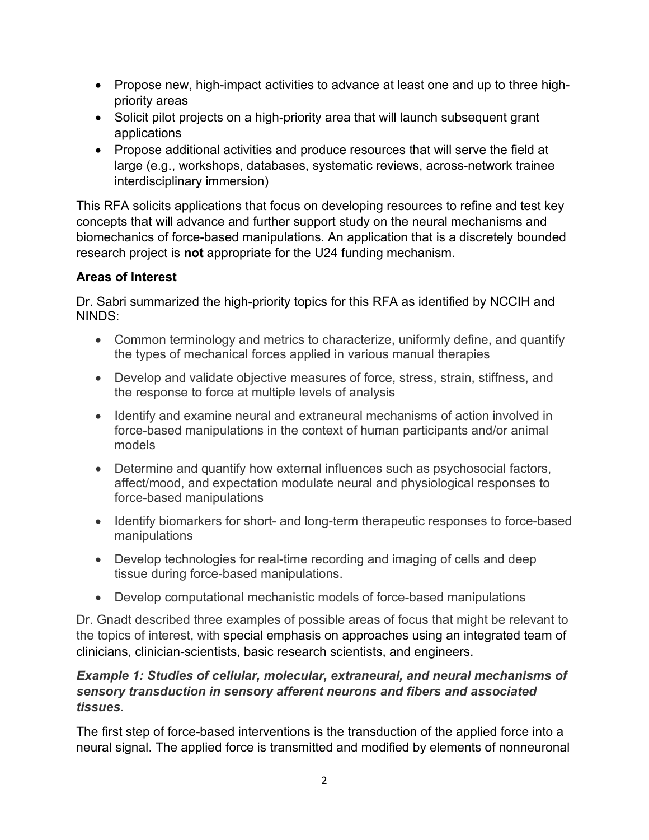- Propose new, high-impact activities to advance at least one and up to three highpriority areas
- Solicit pilot projects on a high-priority area that will launch subsequent grant applications
- Propose additional activities and produce resources that will serve the field at large (e.g., workshops, databases, systematic reviews, across-network trainee interdisciplinary immersion)

This RFA solicits applications that focus on developing resources to refine and test key concepts that will advance and further support study on the neural mechanisms and biomechanics of force-based manipulations. An application that is a discretely bounded research project is **not** appropriate for the U24 funding mechanism.

### **Areas of Interest**

Dr. Sabri summarized the high-priority topics for this RFA as identified by NCCIH and NINDS:

- Common terminology and metrics to characterize, uniformly define, and quantify the types of mechanical forces applied in various manual therapies
- Develop and validate objective measures of force, stress, strain, stiffness, and the response to force at multiple levels of analysis
- Identify and examine neural and extraneural mechanisms of action involved in force-based manipulations in the context of human participants and/or animal models
- Determine and quantify how external influences such as psychosocial factors, affect/mood, and expectation modulate neural and physiological responses to force-based manipulations
- Identify biomarkers for short- and long-term therapeutic responses to force-based manipulations
- Develop technologies for real-time recording and imaging of cells and deep tissue during force-based manipulations.
- Develop computational mechanistic models of force-based manipulations

Dr. Gnadt described three examples of possible areas of focus that might be relevant to the topics of interest, with special emphasis on approaches using an integrated team of clinicians, clinician-scientists, basic research scientists, and engineers.

### *Example 1: Studies of cellular, molecular, extraneural, and neural mechanisms of sensory transduction in sensory afferent neurons and fibers and associated tissues.*

The first step of force-based interventions is the transduction of the applied force into a neural signal. The applied force is transmitted and modified by elements of nonneuronal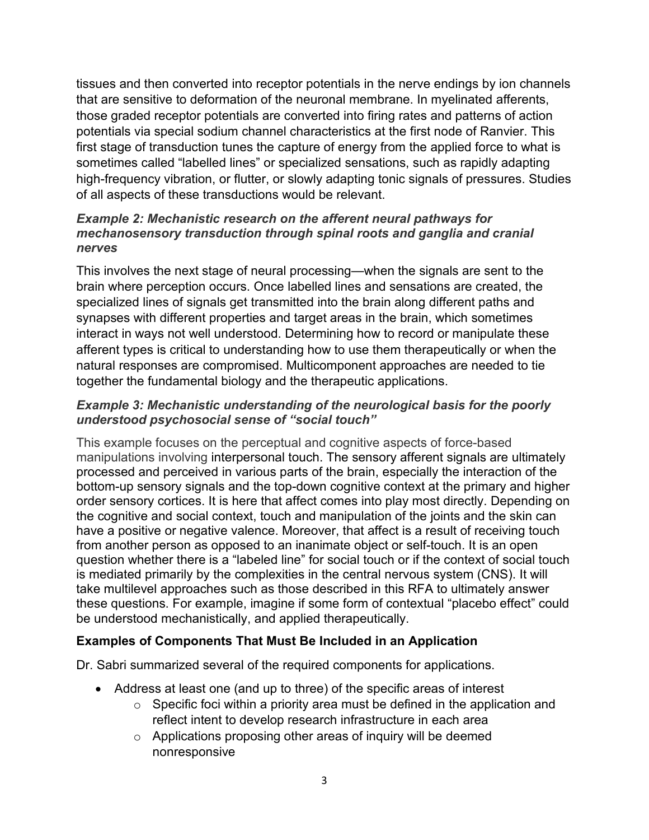tissues and then converted into receptor potentials in the nerve endings by ion channels that are sensitive to deformation of the neuronal membrane. In myelinated afferents, those graded receptor potentials are converted into firing rates and patterns of action potentials via special sodium channel characteristics at the first node of Ranvier. This first stage of transduction tunes the capture of energy from the applied force to what is sometimes called "labelled lines" or specialized sensations, such as rapidly adapting high-frequency vibration, or flutter, or slowly adapting tonic signals of pressures. Studies of all aspects of these transductions would be relevant.

#### *Example 2: Mechanistic research on the afferent neural pathways for mechanosensory transduction through spinal roots and ganglia and cranial nerves*

This involves the next stage of neural processing—when the signals are sent to the brain where perception occurs. Once labelled lines and sensations are created, the specialized lines of signals get transmitted into the brain along different paths and synapses with different properties and target areas in the brain, which sometimes interact in ways not well understood. Determining how to record or manipulate these afferent types is critical to understanding how to use them therapeutically or when the natural responses are compromised. Multicomponent approaches are needed to tie together the fundamental biology and the therapeutic applications.

### *Example 3: Mechanistic understanding of the neurological basis for the poorly understood psychosocial sense of "social touch"*

This example focuses on the perceptual and cognitive aspects of force-based manipulations involving interpersonal touch. The sensory afferent signals are ultimately processed and perceived in various parts of the brain, especially the interaction of the bottom-up sensory signals and the top-down cognitive context at the primary and higher order sensory cortices. It is here that affect comes into play most directly. Depending on the cognitive and social context, touch and manipulation of the joints and the skin can have a positive or negative valence. Moreover, that affect is a result of receiving touch from another person as opposed to an inanimate object or self-touch. It is an open question whether there is a "labeled line" for social touch or if the context of social touch is mediated primarily by the complexities in the central nervous system (CNS). It will take multilevel approaches such as those described in this RFA to ultimately answer these questions. For example, imagine if some form of contextual "placebo effect" could be understood mechanistically, and applied therapeutically.

## **Examples of Components That Must Be Included in an Application**

Dr. Sabri summarized several of the required components for applications.

- Address at least one (and up to three) of the specific areas of interest
	- $\circ$  Specific foci within a priority area must be defined in the application and reflect intent to develop research infrastructure in each area
	- $\circ$  Applications proposing other areas of inquiry will be deemed nonresponsive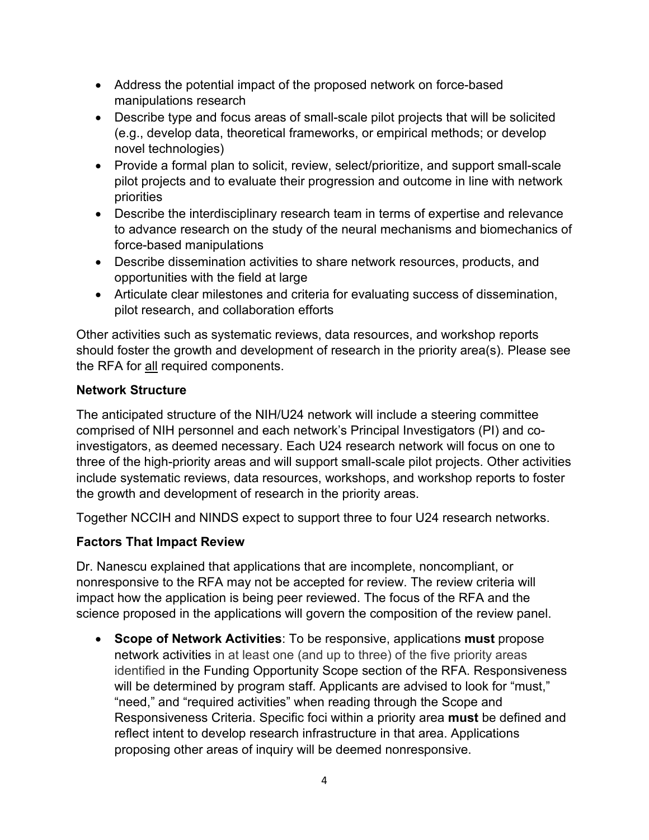- Address the potential impact of the proposed network on force-based manipulations research
- Describe type and focus areas of small-scale pilot projects that will be solicited (e.g., develop data, theoretical frameworks, or empirical methods; or develop novel technologies)
- Provide a formal plan to solicit, review, select/prioritize, and support small-scale pilot projects and to evaluate their progression and outcome in line with network priorities
- Describe the interdisciplinary research team in terms of expertise and relevance to advance research on the study of the neural mechanisms and biomechanics of force-based manipulations
- Describe dissemination activities to share network resources, products, and opportunities with the field at large
- Articulate clear milestones and criteria for evaluating success of dissemination, pilot research, and collaboration efforts

Other activities such as systematic reviews, data resources, and workshop reports should foster the growth and development of research in the priority area(s). Please see the RFA for all required components.

### **Network Structure**

The anticipated structure of the NIH/U24 network will include a steering committee comprised of NIH personnel and each network's Principal Investigators (PI) and coinvestigators, as deemed necessary. Each U24 research network will focus on one to three of the high-priority areas and will support small-scale pilot projects. Other activities include systematic reviews, data resources, workshops, and workshop reports to foster the growth and development of research in the priority areas.

Together NCCIH and NINDS expect to support three to four U24 research networks.

## **Factors That Impact Review**

Dr. Nanescu explained that applications that are incomplete, noncompliant, or nonresponsive to the RFA may not be accepted for review. The review criteria will impact how the application is being peer reviewed. The focus of the RFA and the science proposed in the applications will govern the composition of the review panel.

• **Scope of Network Activities**: To be responsive, applications **must** propose network activities in at least one (and up to three) of the five priority areas identified in the Funding Opportunity Scope section of the RFA. Responsiveness will be determined by program staff. Applicants are advised to look for "must," "need," and "required activities" when reading through the Scope and Responsiveness Criteria. Specific foci within a priority area **must** be defined and reflect intent to develop research infrastructure in that area. Applications proposing other areas of inquiry will be deemed nonresponsive.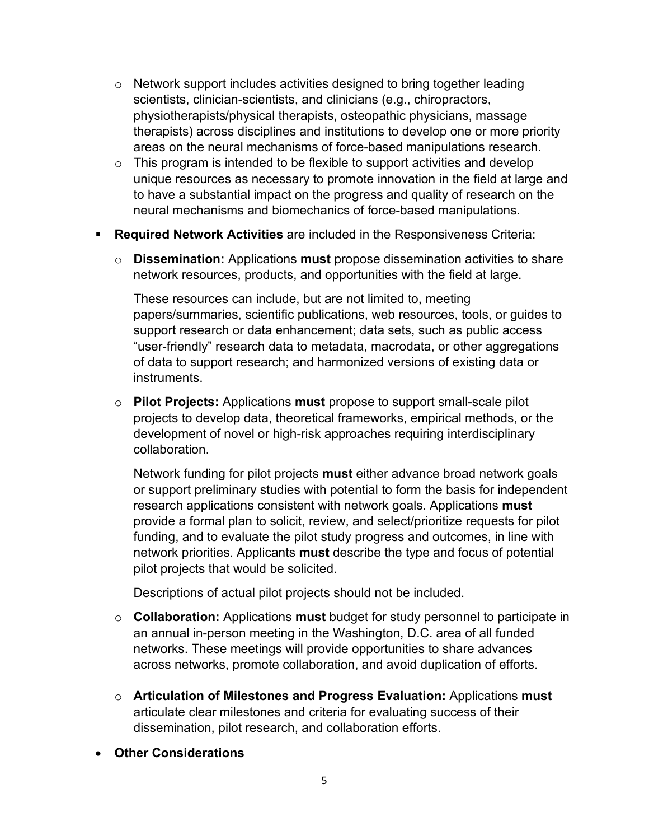- $\circ$  Network support includes activities designed to bring together leading scientists, clinician-scientists, and clinicians (e.g., chiropractors, physiotherapists/physical therapists, osteopathic physicians, massage therapists) across disciplines and institutions to develop one or more priority areas on the neural mechanisms of force-based manipulations research.
- $\circ$  This program is intended to be flexible to support activities and develop unique resources as necessary to promote innovation in the field at large and to have a substantial impact on the progress and quality of research on the neural mechanisms and biomechanics of force-based manipulations.
- **Required Network Activities** are included in the Responsiveness Criteria:
	- o **Dissemination:** Applications **must** propose dissemination activities to share network resources, products, and opportunities with the field at large.

These resources can include, but are not limited to, meeting papers/summaries, scientific publications, web resources, tools, or guides to support research or data enhancement; data sets, such as public access "user-friendly" research data to metadata, macrodata, or other aggregations of data to support research; and harmonized versions of existing data or instruments.

o **Pilot Projects:** Applications **must** propose to support small-scale pilot projects to develop data, theoretical frameworks, empirical methods, or the development of novel or high-risk approaches requiring interdisciplinary collaboration.

Network funding for pilot projects **must** either advance broad network goals or support preliminary studies with potential to form the basis for independent research applications consistent with network goals. Applications **must** provide a formal plan to solicit, review, and select/prioritize requests for pilot funding, and to evaluate the pilot study progress and outcomes, in line with network priorities. Applicants **must** describe the type and focus of potential pilot projects that would be solicited.

Descriptions of actual pilot projects should not be included.

- o **Collaboration:** Applications **must** budget for study personnel to participate in an annual in-person meeting in the Washington, D.C. area of all funded networks. These meetings will provide opportunities to share advances across networks, promote collaboration, and avoid duplication of efforts.
- o **Articulation of Milestones and Progress Evaluation:** Applications **must** articulate clear milestones and criteria for evaluating success of their dissemination, pilot research, and collaboration efforts.
- **Other Considerations**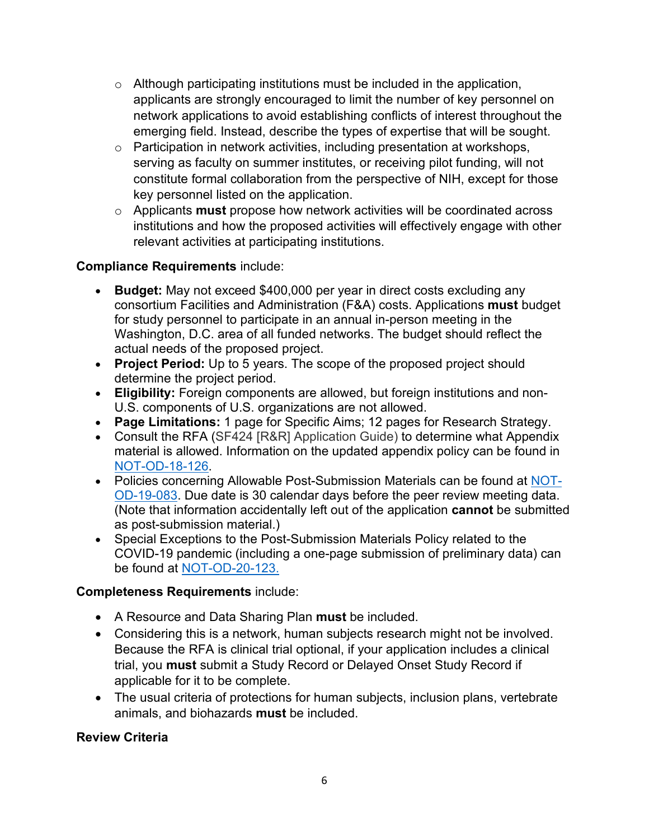- $\circ$  Although participating institutions must be included in the application, applicants are strongly encouraged to limit the number of key personnel on network applications to avoid establishing conflicts of interest throughout the emerging field. Instead, describe the types of expertise that will be sought.
- o Participation in network activities, including presentation at workshops, serving as faculty on summer institutes, or receiving pilot funding, will not constitute formal collaboration from the perspective of NIH, except for those key personnel listed on the application.
- o Applicants **must** propose how network activities will be coordinated across institutions and how the proposed activities will effectively engage with other relevant activities at participating institutions.

### **Compliance Requirements** include:

- **Budget:** May not exceed \$400,000 per year in direct costs excluding any consortium Facilities and Administration (F&A) costs. Applications **must** budget for study personnel to participate in an annual in-person meeting in the Washington, D.C. area of all funded networks. The budget should reflect the actual needs of the proposed project.
- **Project Period:** Up to 5 years. The scope of the proposed project should determine the project period.
- **Eligibility:** Foreign components are allowed, but foreign institutions and non-U.S. components of U.S. organizations are not allowed.
- **Page Limitations:** 1 page for Specific Aims; 12 pages for Research Strategy.
- Consult the RFA (SF424 [R&R] Application Guide) to determine what Appendix material is allowed. Information on the updated appendix policy can be found in [NOT-OD-18-126.](https://grants.nih.gov/grants/guide/notice-files/NOT-OD-18-126.html)
- Policies concerning Allowable Post-Submission Materials can be found at [NOT-](https://grants.nih.gov/grants/guide/notice-files/NOT-OD-19-083.html)[OD-19-083.](https://grants.nih.gov/grants/guide/notice-files/NOT-OD-19-083.html) Due date is 30 calendar days before the peer review meeting data. (Note that information accidentally left out of the application **cannot** be submitted as post-submission material.)
- Special Exceptions to the Post-Submission Materials Policy related to the COVID-19 pandemic (including a one-page submission of preliminary data) can be found at [NOT-OD-20-123.](https://grants.nih.gov/grants/guide/notice-files/NOT-OD-20-123.html)

#### **Completeness Requirements** include:

- A Resource and Data Sharing Plan **must** be included.
- Considering this is a network, human subjects research might not be involved. Because the RFA is clinical trial optional, if your application includes a clinical trial, you **must** submit a Study Record or Delayed Onset Study Record if applicable for it to be complete.
- The usual criteria of protections for human subjects, inclusion plans, vertebrate animals, and biohazards **must** be included.

## **Review Criteria**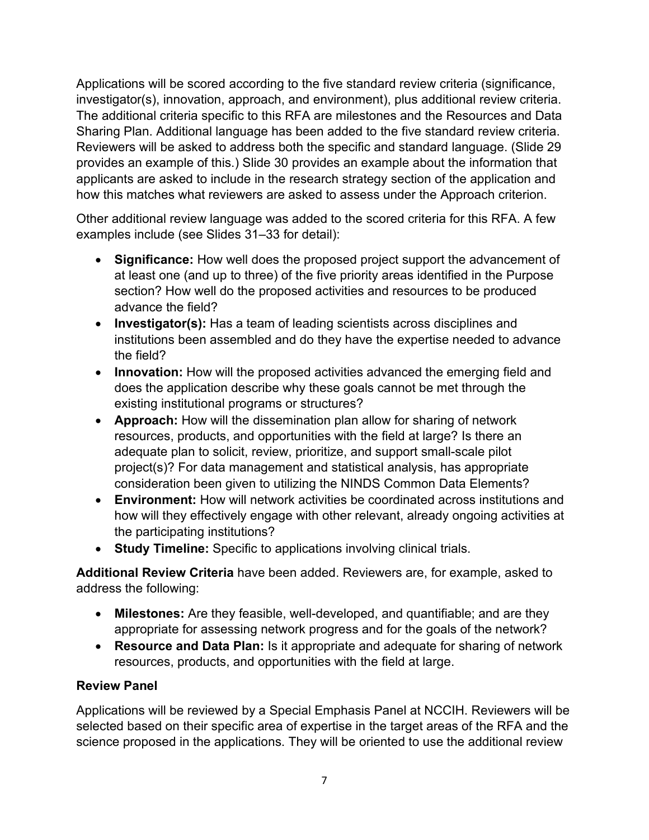Applications will be scored according to the five standard review criteria (significance, investigator(s), innovation, approach, and environment), plus additional review criteria. The additional criteria specific to this RFA are milestones and the Resources and Data Sharing Plan. Additional language has been added to the five standard review criteria. Reviewers will be asked to address both the specific and standard language. (Slide 29 provides an example of this.) Slide 30 provides an example about the information that applicants are asked to include in the research strategy section of the application and how this matches what reviewers are asked to assess under the Approach criterion.

Other additional review language was added to the scored criteria for this RFA. A few examples include (see Slides 31–33 for detail):

- **Significance:** How well does the proposed project support the advancement of at least one (and up to three) of the five priority areas identified in the Purpose section? How well do the proposed activities and resources to be produced advance the field?
- **Investigator(s):** Has a team of leading scientists across disciplines and institutions been assembled and do they have the expertise needed to advance the field?
- **Innovation:** How will the proposed activities advanced the emerging field and does the application describe why these goals cannot be met through the existing institutional programs or structures?
- **Approach:** How will the dissemination plan allow for sharing of network resources, products, and opportunities with the field at large? Is there an adequate plan to solicit, review, prioritize, and support small-scale pilot project(s)? For data management and statistical analysis, has appropriate consideration been given to utilizing the NINDS Common Data Elements?
- **Environment:** How will network activities be coordinated across institutions and how will they effectively engage with other relevant, already ongoing activities at the participating institutions?
- **Study Timeline:** Specific to applications involving clinical trials.

**Additional Review Criteria** have been added. Reviewers are, for example, asked to address the following:

- **Milestones:** Are they feasible, well-developed, and quantifiable; and are they appropriate for assessing network progress and for the goals of the network?
- **Resource and Data Plan:** Is it appropriate and adequate for sharing of network resources, products, and opportunities with the field at large.

#### **Review Panel**

Applications will be reviewed by a Special Emphasis Panel at NCCIH. Reviewers will be selected based on their specific area of expertise in the target areas of the RFA and the science proposed in the applications. They will be oriented to use the additional review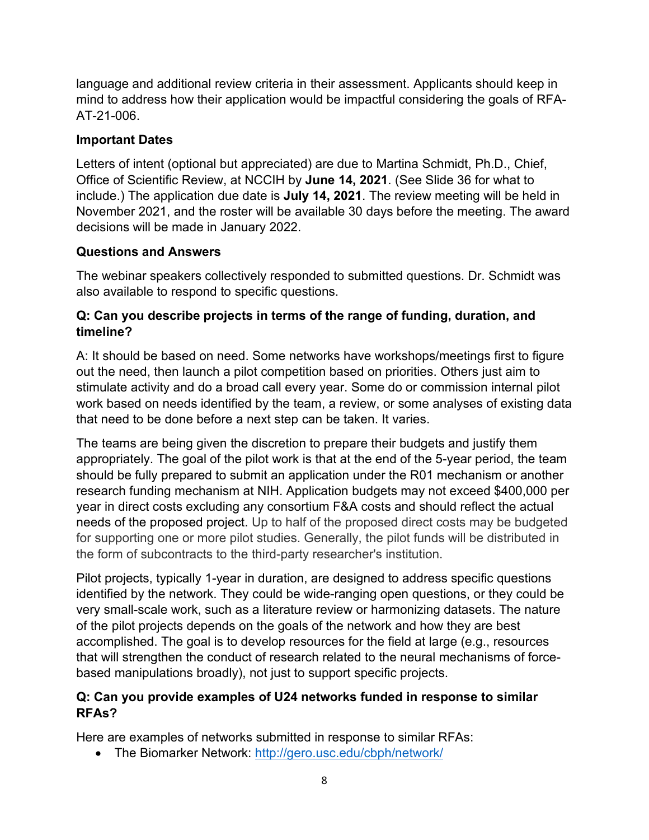language and additional review criteria in their assessment. Applicants should keep in mind to address how their application would be impactful considering the goals of RFA-AT-21-006.

#### **Important Dates**

Letters of intent (optional but appreciated) are due to Martina Schmidt, Ph.D., Chief, Office of Scientific Review, at NCCIH by **June 14, 2021**. (See Slide 36 for what to include.) The application due date is **July 14, 2021**. The review meeting will be held in November 2021, and the roster will be available 30 days before the meeting. The award decisions will be made in January 2022.

## **Questions and Answers**

The webinar speakers collectively responded to submitted questions. Dr. Schmidt was also available to respond to specific questions.

### **Q: Can you describe projects in terms of the range of funding, duration, and timeline?**

A: It should be based on need. Some networks have workshops/meetings first to figure out the need, then launch a pilot competition based on priorities. Others just aim to stimulate activity and do a broad call every year. Some do or commission internal pilot work based on needs identified by the team, a review, or some analyses of existing data that need to be done before a next step can be taken. It varies.

The teams are being given the discretion to prepare their budgets and justify them appropriately. The goal of the pilot work is that at the end of the 5-year period, the team should be fully prepared to submit an application under the R01 mechanism or another research funding mechanism at NIH. Application budgets may not exceed \$400,000 per year in direct costs excluding any consortium F&A costs and should reflect the actual needs of the proposed project. Up to half of the proposed direct costs may be budgeted for supporting one or more pilot studies. Generally, the pilot funds will be distributed in the form of subcontracts to the third-party researcher's institution.

Pilot projects, typically 1-year in duration, are designed to address specific questions identified by the network. They could be wide-ranging open questions, or they could be very small-scale work, such as a literature review or harmonizing datasets. The nature of the pilot projects depends on the goals of the network and how they are best accomplished. The goal is to develop resources for the field at large (e.g., resources that will strengthen the conduct of research related to the neural mechanisms of forcebased manipulations broadly), not just to support specific projects.

### **Q: Can you provide examples of U24 networks funded in response to similar RFAs?**

Here are examples of networks submitted in response to similar RFAs:

• The Biomarker Network:<http://gero.usc.edu/cbph/network/>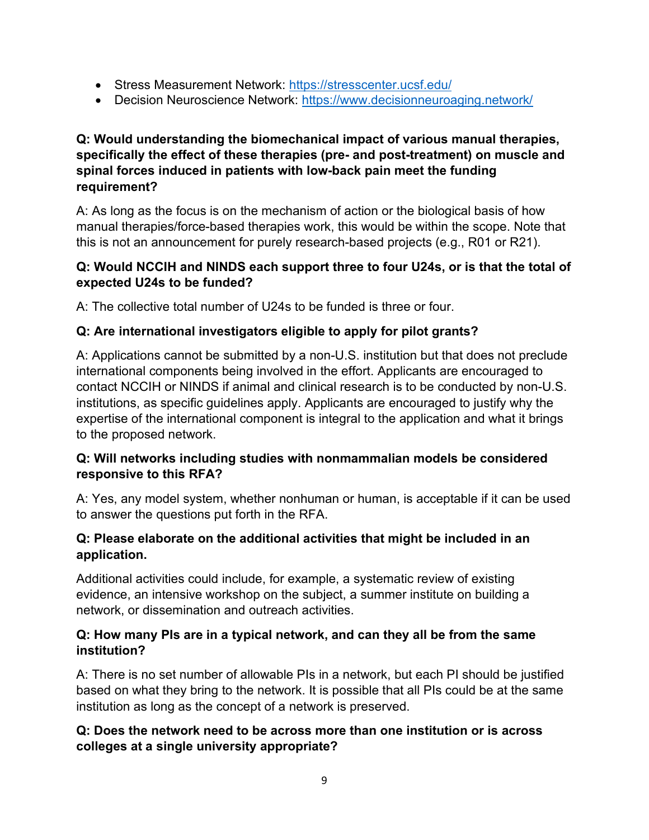- Stress Measurement Network:<https://stresscenter.ucsf.edu/>
- Decision Neuroscience Network:<https://www.decisionneuroaging.network/>

### **Q: Would understanding the biomechanical impact of various manual therapies, specifically the effect of these therapies (pre- and post-treatment) on muscle and spinal forces induced in patients with low-back pain meet the funding requirement?**

A: As long as the focus is on the mechanism of action or the biological basis of how manual therapies/force-based therapies work, this would be within the scope. Note that this is not an announcement for purely research-based projects (e.g., R01 or R21).

### **Q: Would NCCIH and NINDS each support three to four U24s, or is that the total of expected U24s to be funded?**

A: The collective total number of U24s to be funded is three or four.

## **Q: Are international investigators eligible to apply for pilot grants?**

A: Applications cannot be submitted by a non-U.S. institution but that does not preclude international components being involved in the effort. Applicants are encouraged to contact NCCIH or NINDS if animal and clinical research is to be conducted by non-U.S. institutions, as specific guidelines apply. Applicants are encouraged to justify why the expertise of the international component is integral to the application and what it brings to the proposed network.

### **Q: Will networks including studies with nonmammalian models be considered responsive to this RFA?**

A: Yes, any model system, whether nonhuman or human, is acceptable if it can be used to answer the questions put forth in the RFA.

### **Q: Please elaborate on the additional activities that might be included in an application.**

Additional activities could include, for example, a systematic review of existing evidence, an intensive workshop on the subject, a summer institute on building a network, or dissemination and outreach activities.

### **Q: How many PIs are in a typical network, and can they all be from the same institution?**

A: There is no set number of allowable PIs in a network, but each PI should be justified based on what they bring to the network. It is possible that all PIs could be at the same institution as long as the concept of a network is preserved.

### **Q: Does the network need to be across more than one institution or is across colleges at a single university appropriate?**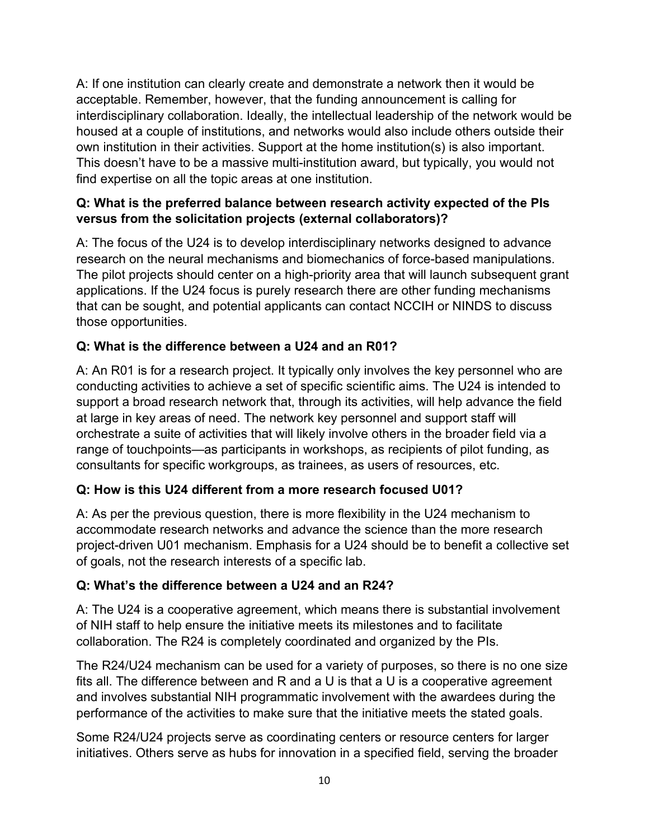A: If one institution can clearly create and demonstrate a network then it would be acceptable. Remember, however, that the funding announcement is calling for interdisciplinary collaboration. Ideally, the intellectual leadership of the network would be housed at a couple of institutions, and networks would also include others outside their own institution in their activities. Support at the home institution(s) is also important. This doesn't have to be a massive multi-institution award, but typically, you would not find expertise on all the topic areas at one institution.

### **Q: What is the preferred balance between research activity expected of the PIs versus from the solicitation projects (external collaborators)?**

A: The focus of the U24 is to develop interdisciplinary networks designed to advance research on the neural mechanisms and biomechanics of force-based manipulations. The pilot projects should center on a high-priority area that will launch subsequent grant applications. If the U24 focus is purely research there are other funding mechanisms that can be sought, and potential applicants can contact NCCIH or NINDS to discuss those opportunities.

## **Q: What is the difference between a U24 and an R01?**

A: An R01 is for a research project. It typically only involves the key personnel who are conducting activities to achieve a set of specific scientific aims. The U24 is intended to support a broad research network that, through its activities, will help advance the field at large in key areas of need. The network key personnel and support staff will orchestrate a suite of activities that will likely involve others in the broader field via a range of touchpoints—as participants in workshops, as recipients of pilot funding, as consultants for specific workgroups, as trainees, as users of resources, etc.

## **Q: How is this U24 different from a more research focused U01?**

A: As per the previous question, there is more flexibility in the U24 mechanism to accommodate research networks and advance the science than the more research project-driven U01 mechanism. Emphasis for a U24 should be to benefit a collective set of goals, not the research interests of a specific lab.

## **Q: What's the difference between a U24 and an R24?**

A: The U24 is a cooperative agreement, which means there is substantial involvement of NIH staff to help ensure the initiative meets its milestones and to facilitate collaboration. The R24 is completely coordinated and organized by the PIs.

The R24/U24 mechanism can be used for a variety of purposes, so there is no one size fits all. The difference between and R and a U is that a U is a cooperative agreement and involves substantial NIH programmatic involvement with the awardees during the performance of the activities to make sure that the initiative meets the stated goals.

Some R24/U24 projects serve as coordinating centers or resource centers for larger initiatives. Others serve as hubs for innovation in a specified field, serving the broader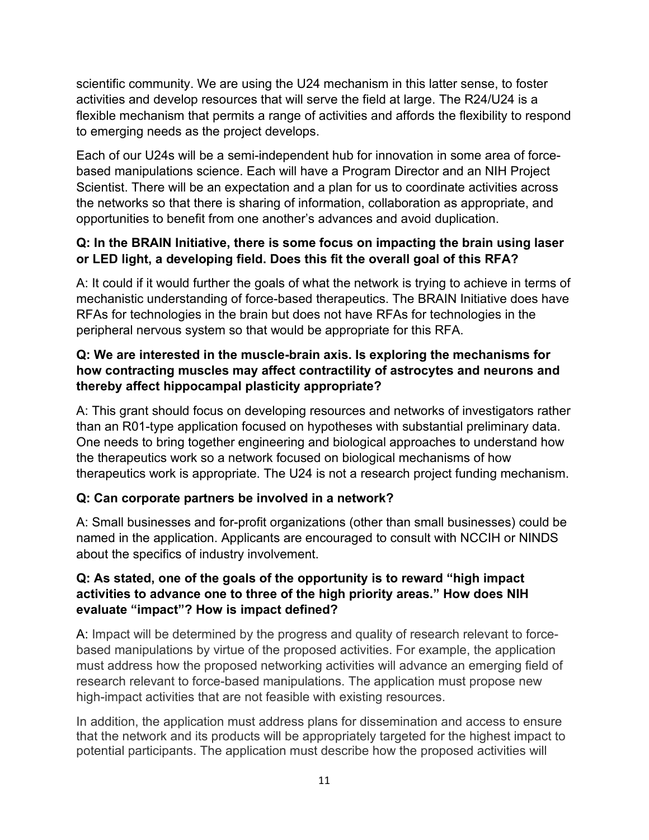scientific community. We are using the U24 mechanism in this latter sense, to foster activities and develop resources that will serve the field at large. The R24/U24 is a flexible mechanism that permits a range of activities and affords the flexibility to respond to emerging needs as the project develops.

Each of our U24s will be a semi-independent hub for innovation in some area of forcebased manipulations science. Each will have a Program Director and an NIH Project Scientist. There will be an expectation and a plan for us to coordinate activities across the networks so that there is sharing of information, collaboration as appropriate, and opportunities to benefit from one another's advances and avoid duplication.

### **Q: In the BRAIN Initiative, there is some focus on impacting the brain using laser or LED light, a developing field. Does this fit the overall goal of this RFA?**

A: It could if it would further the goals of what the network is trying to achieve in terms of mechanistic understanding of force-based therapeutics. The BRAIN Initiative does have RFAs for technologies in the brain but does not have RFAs for technologies in the peripheral nervous system so that would be appropriate for this RFA.

#### **Q: We are interested in the muscle-brain axis. Is exploring the mechanisms for how contracting muscles may affect contractility of astrocytes and neurons and thereby affect hippocampal plasticity appropriate?**

A: This grant should focus on developing resources and networks of investigators rather than an R01-type application focused on hypotheses with substantial preliminary data. One needs to bring together engineering and biological approaches to understand how the therapeutics work so a network focused on biological mechanisms of how therapeutics work is appropriate. The U24 is not a research project funding mechanism.

## **Q: Can corporate partners be involved in a network?**

A: Small businesses and for-profit organizations (other than small businesses) could be named in the application. Applicants are encouraged to consult with NCCIH or NINDS about the specifics of industry involvement.

### **Q: As stated, one of the goals of the opportunity is to reward "high impact activities to advance one to three of the high priority areas." How does NIH evaluate "impact"? How is impact defined?**

A: Impact will be determined by the progress and quality of research relevant to forcebased manipulations by virtue of the proposed activities. For example, the application must address how the proposed networking activities will advance an emerging field of research relevant to force-based manipulations. The application must propose new high-impact activities that are not feasible with existing resources.

In addition, the application must address plans for dissemination and access to ensure that the network and its products will be appropriately targeted for the highest impact to potential participants. The application must describe how the proposed activities will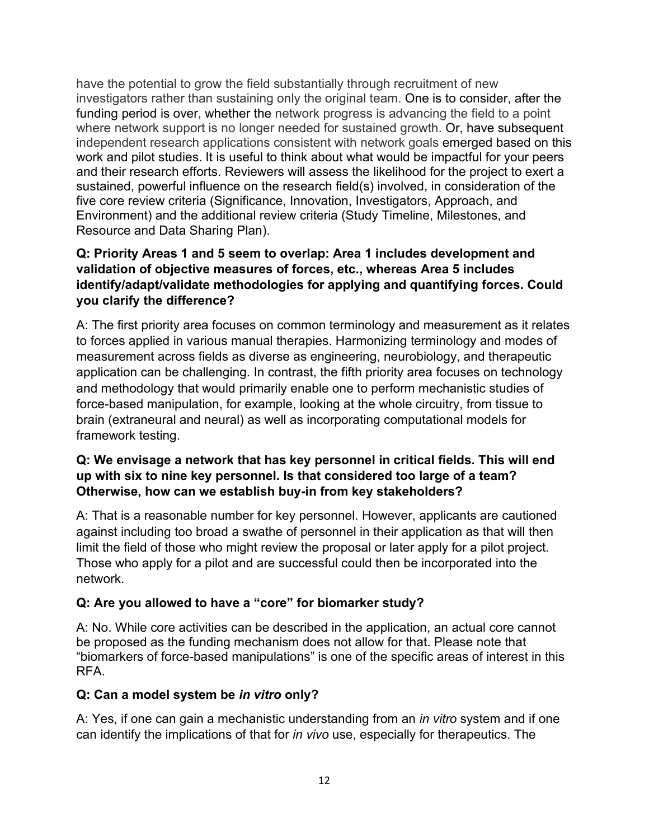have the potential to grow the field substantially through recruitment of new investigators rather than sustaining only the original team. One is to consider, after the funding period is over, whether the network progress is advancing the field to a point where network support is no longer needed for sustained growth. Or, have subsequent independent research applications consistent with network goals emerged based on this work and pilot studies. It is useful to think about what would be impactful for your peers and their research efforts. Reviewers will assess the likelihood for the project to exert a sustained, powerful influence on the research field(s) involved, in consideration of the five core review criteria (Significance, Innovation, Investigators, Approach, and Environment) and the additional review criteria (Study Timeline, Milestones, and Resource and Data Sharing Plan).

### **Q: Priority Areas 1 and 5 seem to overlap: Area 1 includes development and validation of objective measures of forces, etc., whereas Area 5 includes identify/adapt/validate methodologies for applying and quantifying forces. Could you clarify the difference?**

A: The first priority area focuses on common terminology and measurement as it relates to forces applied in various manual therapies. Harmonizing terminology and modes of measurement across fields as diverse as engineering, neurobiology, and therapeutic application can be challenging. In contrast, the fifth priority area focuses on technology and methodology that would primarily enable one to perform mechanistic studies of force-based manipulation, for example, looking at the whole circuitry, from tissue to brain (extraneural and neural) as well as incorporating computational models for framework testing.

#### **Q: We envisage a network that has key personnel in critical fields. This will end up with six to nine key personnel. Is that considered too large of a team? Otherwise, how can we establish buy-in from key stakeholders?**

A: That is a reasonable number for key personnel. However, applicants are cautioned against including too broad a swathe of personnel in their application as that will then limit the field of those who might review the proposal or later apply for a pilot project. Those who apply for a pilot and are successful could then be incorporated into the network.

## **Q: Are you allowed to have a "core" for biomarker study?**

A: No. While core activities can be described in the application, an actual core cannot be proposed as the funding mechanism does not allow for that. Please note that "biomarkers of force-based manipulations" is one of the specific areas of interest in this RFA.

## **Q: Can a model system be** *in vitro* **only?**

A: Yes, if one can gain a mechanistic understanding from an *in vitro* system and if one can identify the implications of that for *in vivo* use, especially for therapeutics. The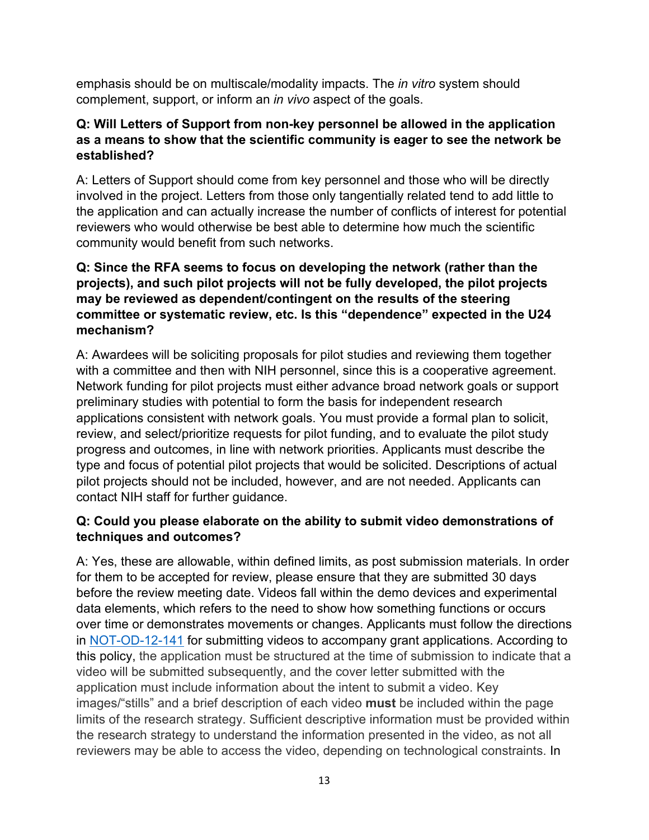emphasis should be on multiscale/modality impacts. The *in vitro* system should complement, support, or inform an *in vivo* aspect of the goals.

### **Q: Will Letters of Support from non-key personnel be allowed in the application as a means to show that the scientific community is eager to see the network be established?**

A: Letters of Support should come from key personnel and those who will be directly involved in the project. Letters from those only tangentially related tend to add little to the application and can actually increase the number of conflicts of interest for potential reviewers who would otherwise be best able to determine how much the scientific community would benefit from such networks.

#### **Q: Since the RFA seems to focus on developing the network (rather than the projects), and such pilot projects will not be fully developed, the pilot projects may be reviewed as dependent/contingent on the results of the steering committee or systematic review, etc. Is this "dependence" expected in the U24 mechanism?**

A: Awardees will be soliciting proposals for pilot studies and reviewing them together with a committee and then with NIH personnel, since this is a cooperative agreement. Network funding for pilot projects must either advance broad network goals or support preliminary studies with potential to form the basis for independent research applications consistent with network goals. You must provide a formal plan to solicit, review, and select/prioritize requests for pilot funding, and to evaluate the pilot study progress and outcomes, in line with network priorities. Applicants must describe the type and focus of potential pilot projects that would be solicited. Descriptions of actual pilot projects should not be included, however, and are not needed. Applicants can contact NIH staff for further guidance.

### **Q: Could you please elaborate on the ability to submit video demonstrations of techniques and outcomes?**

A: Yes, these are allowable, within defined limits, as post submission materials. In order for them to be accepted for review, please ensure that they are submitted 30 days before the review meeting date. Videos fall within the demo devices and experimental data elements, which refers to the need to show how something functions or occurs over time or demonstrates movements or changes. Applicants must follow the directions in [NOT-OD-12-141](https://grants.nih.gov/grants/guide/notice-files/not-od-12-141.html) for submitting videos to accompany grant applications. According to this policy, the application must be structured at the time of submission to indicate that a video will be submitted subsequently, and the cover letter submitted with the application must include information about the intent to submit a video. Key images/"stills" and a brief description of each video **must** be included within the page limits of the research strategy. Sufficient descriptive information must be provided within the research strategy to understand the information presented in the video, as not all reviewers may be able to access the video, depending on technological constraints. In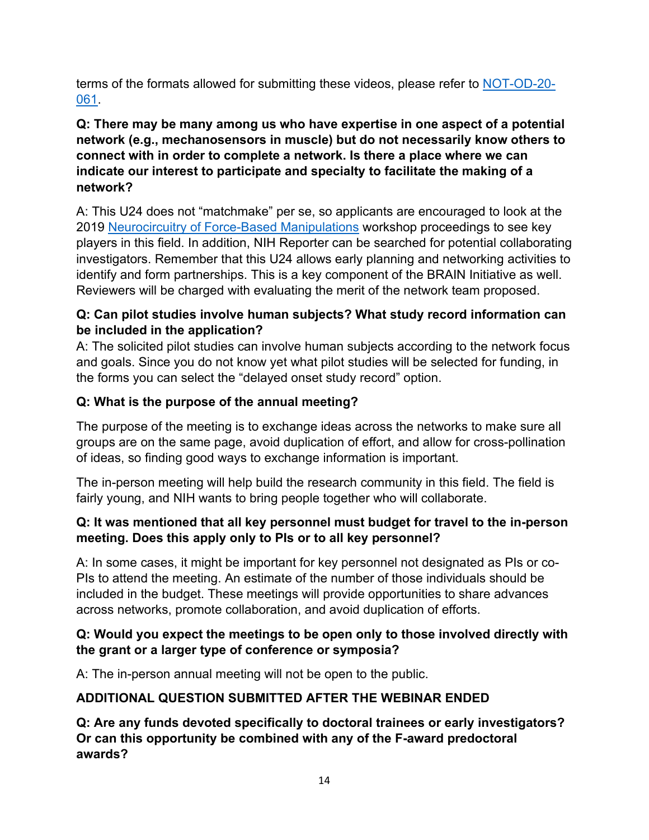terms of the formats allowed for submitting these videos, please refer to [NOT-OD-20-](https://grants.nih.gov/grants/guide/notice-files/NOT-OD-20-061.html) [061.](https://grants.nih.gov/grants/guide/notice-files/NOT-OD-20-061.html)

### **Q: There may be many among us who have expertise in one aspect of a potential network (e.g., mechanosensors in muscle) but do not necessarily know others to connect with in order to complete a network. Is there a place where we can indicate our interest to participate and specialty to facilitate the making of a network?**

A: This U24 does not "matchmake" per se, so applicants are encouraged to look at the 2019 [Neurocircuitry of Force-Based Manipulations](https://files.nccih.nih.gov/force-workshop-summary-110920-508-updated.pdf) workshop proceedings to see key players in this field. In addition, NIH Reporter can be searched for potential collaborating investigators. Remember that this U24 allows early planning and networking activities to identify and form partnerships. This is a key component of the BRAIN Initiative as well. Reviewers will be charged with evaluating the merit of the network team proposed.

### **Q: Can pilot studies involve human subjects? What study record information can be included in the application?**

A: The solicited pilot studies can involve human subjects according to the network focus and goals. Since you do not know yet what pilot studies will be selected for funding, in the forms you can select the "delayed onset study record" option.

# **Q: What is the purpose of the annual meeting?**

The purpose of the meeting is to exchange ideas across the networks to make sure all groups are on the same page, avoid duplication of effort, and allow for cross-pollination of ideas, so finding good ways to exchange information is important.

The in-person meeting will help build the research community in this field. The field is fairly young, and NIH wants to bring people together who will collaborate.

### **Q: It was mentioned that all key personnel must budget for travel to the in-person meeting. Does this apply only to PIs or to all key personnel?**

A: In some cases, it might be important for key personnel not designated as PIs or co-PIs to attend the meeting. An estimate of the number of those individuals should be included in the budget. These meetings will provide opportunities to share advances across networks, promote collaboration, and avoid duplication of efforts.

### **Q: Would you expect the meetings to be open only to those involved directly with the grant or a larger type of conference or symposia?**

A: The in-person annual meeting will not be open to the public.

# **ADDITIONAL QUESTION SUBMITTED AFTER THE WEBINAR ENDED**

**Q: Are any funds devoted specifically to doctoral trainees or early investigators? Or can this opportunity be combined with any of the F-award predoctoral awards?**